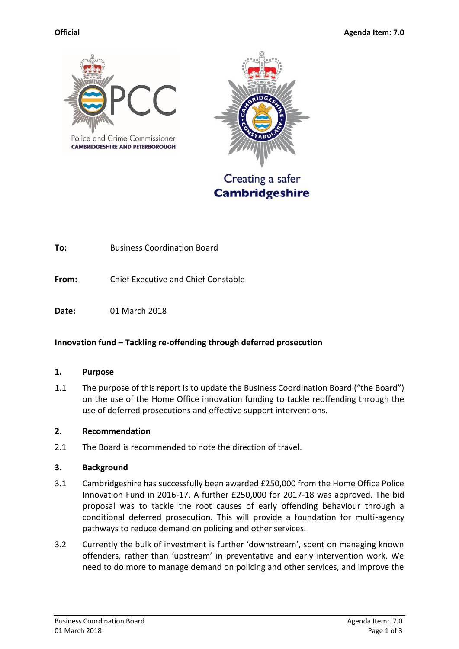

Police and Crime Commissioner **CAMBRIDGESHIRE AND PETERBOROUGH** 



Creating a safer **Cambridgeshire** 

**To:** Business Coordination Board

**From:** Chief Executive and Chief Constable

**Date:** 01 March 2018

# **Innovation fund – Tackling re-offending through deferred prosecution**

## **1. Purpose**

1.1 The purpose of this report is to update the Business Coordination Board ("the Board") on the use of the Home Office innovation funding to tackle reoffending through the use of deferred prosecutions and effective support interventions.

## **2. Recommendation**

2.1 The Board is recommended to note the direction of travel.

## **3. Background**

- 3.1 Cambridgeshire has successfully been awarded £250,000 from the Home Office Police Innovation Fund in 2016-17. A further £250,000 for 2017-18 was approved. The bid proposal was to tackle the root causes of early offending behaviour through a conditional deferred prosecution. This will provide a foundation for multi-agency pathways to reduce demand on policing and other services.
- 3.2 Currently the bulk of investment is further 'downstream', spent on managing known offenders, rather than 'upstream' in preventative and early intervention work. We need to do more to manage demand on policing and other services, and improve the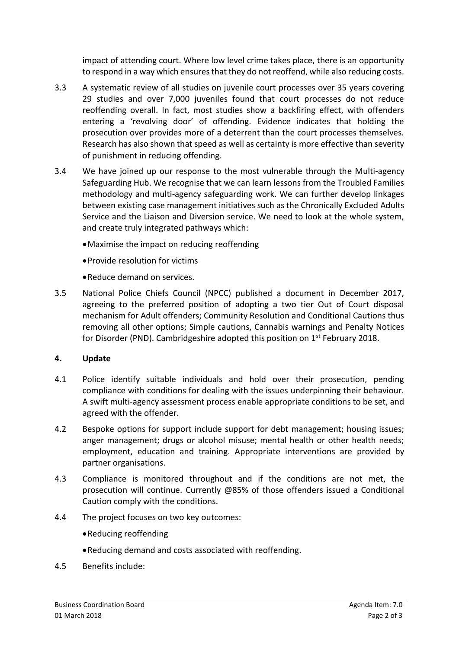impact of attending court. Where low level crime takes place, there is an opportunity to respond in a way which ensures that they do not reoffend, while also reducing costs.

- 3.3 A systematic review of all studies on juvenile court processes over 35 years covering 29 studies and over 7,000 juveniles found that court processes do not reduce reoffending overall. In fact, most studies show a backfiring effect, with offenders entering a 'revolving door' of offending. Evidence indicates that holding the prosecution over provides more of a deterrent than the court processes themselves. Research has also shown that speed as well as certainty is more effective than severity of punishment in reducing offending.
- 3.4 We have joined up our response to the most vulnerable through the Multi-agency Safeguarding Hub. We recognise that we can learn lessons from the Troubled Families methodology and multi-agency safeguarding work. We can further develop linkages between existing case management initiatives such as the Chronically Excluded Adults Service and the Liaison and Diversion service. We need to look at the whole system, and create truly integrated pathways which:
	- Maximise the impact on reducing reoffending
	- Provide resolution for victims
	- Reduce demand on services.
- 3.5 National Police Chiefs Council (NPCC) published a document in December 2017, agreeing to the preferred position of adopting a two tier Out of Court disposal mechanism for Adult offenders; Community Resolution and Conditional Cautions thus removing all other options; Simple cautions, Cannabis warnings and Penalty Notices for Disorder (PND). Cambridgeshire adopted this position on 1<sup>st</sup> February 2018.

# **4. Update**

- 4.1 Police identify suitable individuals and hold over their prosecution, pending compliance with conditions for dealing with the issues underpinning their behaviour. A swift multi-agency assessment process enable appropriate conditions to be set, and agreed with the offender.
- 4.2 Bespoke options for support include support for debt management; housing issues; anger management; drugs or alcohol misuse; mental health or other health needs; employment, education and training. Appropriate interventions are provided by partner organisations.
- 4.3 Compliance is monitored throughout and if the conditions are not met, the prosecution will continue. Currently @85% of those offenders issued a Conditional Caution comply with the conditions.
- 4.4 The project focuses on two key outcomes:
	- Reducing reoffending
	- Reducing demand and costs associated with reoffending.
- 4.5 Benefits include: